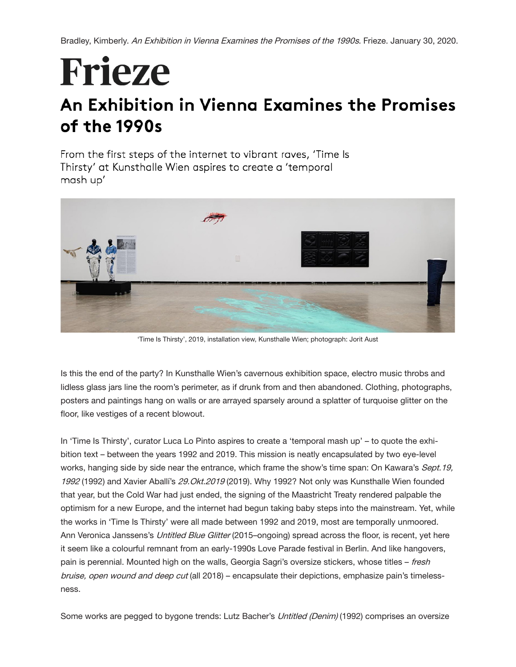Bradley, Kimberly. An Exhibition in Vienna Examines the Promises of the 1990s. Frieze. January 30, 2020.

## Frieze

## An Exhibition in Vienna Examines the Promises of the 1990s

From the first steps of the internet to vibrant raves, 'Time Is Thirsty' at Kunsthalle Wien aspires to create a 'temporal mash up'



'Time Is Thirsty', 2019, installation view, Kunsthalle Wien; photograph: Jorit Aust

Is this the end of the party? In Kunsthalle Wien's cavernous exhibition space, electro music throbs and lidless glass jars line the room's perimeter, as if drunk from and then abandoned. Clothing, photographs, posters and paintings hang on walls or are arrayed sparsely around a splatter of turquoise glitter on the floor, like vestiges of a recent blowout.

In 'Time Is Thirsty', curator Luca Lo Pinto aspires to create a 'temporal mash up' – to quote the exhibition text – between the years 1992 and 2019. This mission is neatly encapsulated by two eye-level works, hanging side by side near the entrance, which frame the show's time span: On Kawara's Sept.19, 1992 (1992) and Xavier Aballi's 29. Okt. 2019 (2019). Why 1992? Not only was Kunsthalle Wien founded that year, but the Cold War had just ended, the signing of the Maastricht Treaty rendered palpable the optimism for a new Europe, and the internet had begun taking baby steps into the mainstream. Yet, while the works in 'Time Is Thirsty' were all made between 1992 and 2019, most are temporally unmoored. Ann Veronica Janssens's Untitled Blue Glitter (2015–ongoing) spread across the floor, is recent, yet here it seem like a colourful remnant from an early-1990s Love Parade festival in Berlin. And like hangovers, pain is perennial. Mounted high on the walls, Georgia Sagri's oversize stickers, whose titles – fresh bruise, open wound and deep cut (all 2018) – encapsulate their depictions, emphasize pain's timelessness.

Some works are pegged to bygone trends: Lutz Bacher's Untitled (Denim) (1992) comprises an oversize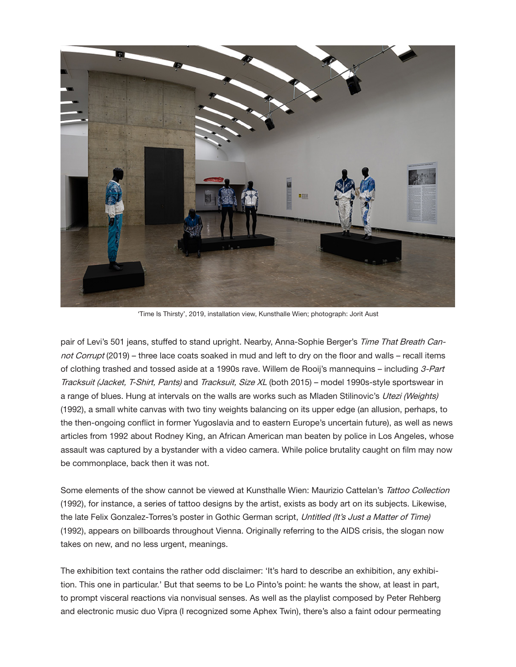

'Time Is Thirsty', 2019, installation view, Kunsthalle Wien; photograph: Jorit Aust

pair of Levi's 501 jeans, stuffed to stand upright. Nearby, Anna-Sophie Berger's Time That Breath Cannot Corrupt (2019) – three lace coats soaked in mud and left to dry on the floor and walls – recall items of clothing trashed and tossed aside at a 1990s rave. Willem de Rooij's mannequins – including 3-Part Tracksuit (Jacket, T-Shirt, Pants) and Tracksuit, Size XL (both 2015) – model 1990s-style sportswear in a range of blues. Hung at intervals on the walls are works such as Mladen Stilinovic's Utezi (Weights) (1992), a small white canvas with two tiny weights balancing on its upper edge (an allusion, perhaps, to the then-ongoing conflict in former Yugoslavia and to eastern Europe's uncertain future), as well as news articles from 1992 about Rodney King, an African American man beaten by police in Los Angeles, whose assault was captured by a bystander with a video camera. While police brutality caught on film may now be commonplace, back then it was not.

Some elements of the show cannot be viewed at Kunsthalle Wien: Maurizio Cattelan's Tattoo Collection (1992), for instance, a series of tattoo designs by the artist, exists as body art on its subjects. Likewise, the late Felix Gonzalez-Torres's poster in Gothic German script, Untitled (It's Just a Matter of Time) (1992), appears on billboards throughout Vienna. Originally referring to the AIDS crisis, the slogan now takes on new, and no less urgent, meanings.

The exhibition text contains the rather odd disclaimer: 'It's hard to describe an exhibition, any exhibition. This one in particular.' But that seems to be Lo Pinto's point: he wants the show, at least in part, to prompt visceral reactions via nonvisual senses. As well as the playlist composed by Peter Rehberg and electronic music duo Vipra (I recognized some Aphex Twin), there's also a faint odour permeating